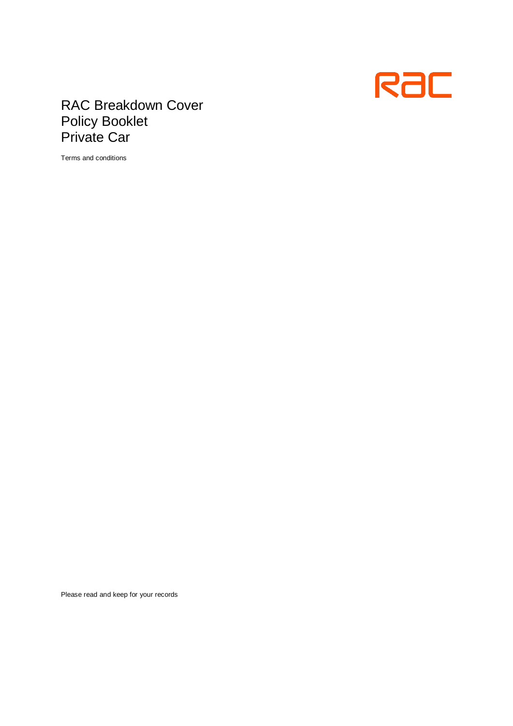

# RAC Breakdown Cover Policy Booklet Private Car

Terms and conditions

Please read and keep for your records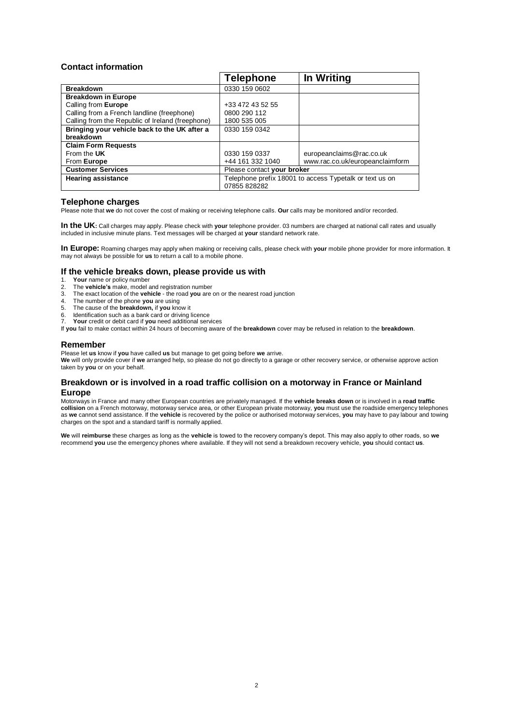# **Contact information**

|                                                  | <b>Telephone</b>                                                       | In Writing                      |
|--------------------------------------------------|------------------------------------------------------------------------|---------------------------------|
| <b>Breakdown</b>                                 | 0330 159 0602                                                          |                                 |
| <b>Breakdown in Europe</b>                       |                                                                        |                                 |
| Calling from Europe                              | +33 472 43 52 55                                                       |                                 |
| Calling from a French landline (freephone)       | 0800 290 112                                                           |                                 |
| Calling from the Republic of Ireland (freephone) | 1800 535 005                                                           |                                 |
| Bringing your vehicle back to the UK after a     | 0330 159 0342                                                          |                                 |
| breakdown                                        |                                                                        |                                 |
| <b>Claim Form Requests</b>                       |                                                                        |                                 |
| From the UK                                      | 0330 159 0337                                                          | europeanclaims@rac.co.uk        |
| From Europe                                      | +44 161 332 1040                                                       | www.rac.co.uk/europeanclaimform |
| <b>Customer Services</b>                         | Please contact your broker                                             |                                 |
| <b>Hearing assistance</b>                        | Telephone prefix 18001 to access Typetalk or text us on<br>07855828282 |                                 |

# **Telephone charges**

Please note that **we** do not cover the cost of making or receiving telephone calls. **Our** calls may be monitored and/or recorded.

**In the UK:** Call charges may apply. Please check with **your** telephone provider. 03 numbers are charged at national call rates and usually included in inclusive minute plans. Text messages will be charged at **your** standard network rate.

**In Europe:** Roaming charges may apply when making or receiving calls, please check with **your** mobile phone provider for more information. It may not always be possible for **us** to return a call to a mobile phone.

# **If the vehicle breaks down, please provide us with 1. Your name or policy number**

- 1. **Your** name or policy number<br>2. The **vehicle's** make models
- 2. The **vehicle's** make, model and registration number
- 3. The exact location of the **vehicle**  the road **you** are on or the nearest road junction
- 4. The number of the phone **you** are using 5. The cause of the **breakdown,** if **you** know it
- 
- 6. Identification such as a bank card or driving licence
- 7. **Your** credit or debit card if **you** need additional services

If **you** fail to make contact within 24 hours of becoming aware of the **breakdown** cover may be refused in relation to the **breakdown**.

# **Remember**

Please let **us** know if **you** have called **us** but manage to get going before **we** arrive.

**We** will only provide cover if **we** arranged help, so please do not go directly to a garage or other recovery service, or otherwise approve action taken by **you** or on your behalf.

# **Breakdown or is involved in a road traffic collision on a motorway in France or Mainland Europe**

Motorways in France and many other European countries are privately managed. If the **vehicle breaks down** or is involved in a **road traffic collision** on a French motorway, motorway service area, or other European private motorway, **you** must use the roadside emergency telephones as **we** cannot send assistance. If the **vehicle** is recovered by the police or authorised motorway services, **you** may have to pay labour and towing charges on the spot and a standard tariff is normally applied.

**We** will **reimburse** these charges as long as the **vehicle** is towed to the recovery company's depot. This may also apply to other roads, so **we**  recommend **you** use the emergency phones where available. If they will not send a breakdown recovery vehicle, **you** should contact **us**.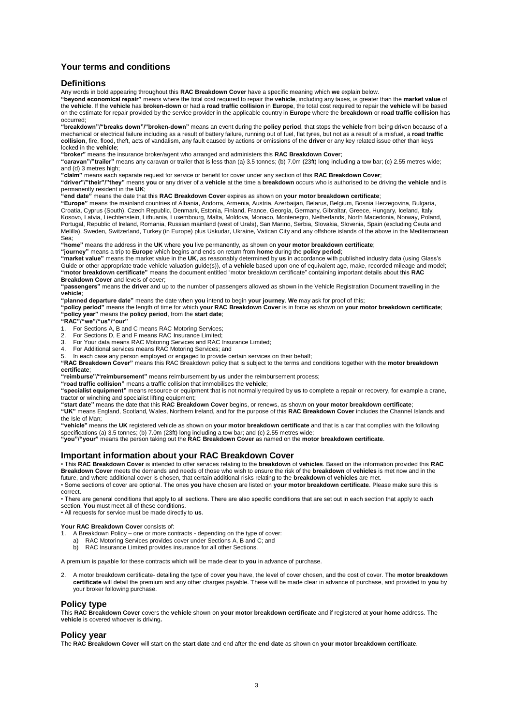# **Your terms and conditions**

# **Definitions**

Any words in bold appearing throughout this **RAC Breakdown Cover** have a specific meaning which **we** explain below.

**"beyond economical repair"** means where the total cost required to repair the **vehicle**, including any taxes, is greater than the **market value** of the **vehicle**. If the **vehicle** has **broken-down** or had a **road traffic collision** in **Europe**, the total cost required to repair the **vehicle** will be based on the estimate for repair provided by the service provider in the applicable country in **Europe** where the **breakdown** or **road traffic collision** has occurred;

**"breakdown"/"breaks down"/"broken-down"** means an event during the **policy period**, that stops the **vehicle** from being driven because of a mechanical or electrical failure including as a result of battery failure, running out of fuel, flat tyres, but not as a result of a misfuel, a **road traffic collision**, fire, flood, theft, acts of vandalism, any fault caused by actions or omissions of the **driver** or any key related issue other than keys locked in the **vehicle**;

**"broker"** means the insurance broker/agent who arranged and administers this **RAC Breakdown Cover**;

**"caravan"/"trailer"** means any caravan or trailer that is less than (a) 3.5 tonnes; (b) 7.0m (23ft) long including a tow bar; (c) 2.55 metres wide; and (d) 3 metres high:

"**claim**" means each separate request for service or benefit for cover under any section of this RAC Bre**akdown Cover**;<br>"**driver**"/"**their**"/"t**hey**" means **you** or any driver of a **vehicle** at the time a **breakdown** occur permanently resident in the **UK**;

**"end date"** means the date that this **RAC Breakdown Cover** expires as shown on **your motor breakdown certificate**;

**"Europe"** means the mainland countries of Albania, Andorra, Armenia, Austria, Azerbaijan, Belarus, Belgium, Bosnia Herzegovina, Bulgaria, Croatia, Cyprus (South), Czech Republic, Denmark, Estonia, Finland, France, Georgia, Germany, Gibraltar, Greece, Hungary, Iceland, Italy, Kosovo, Latvia, Liechtenstein, Lithuania, Luxembourg, Malta, Moldova, Monaco, Montenegro, Netherlands, North Macedonia, Norway, Poland, Portugal, Republic of Ireland, Romania, Russian mainland (west of Urals), San Marino, Serbia, Slovakia, Slovenia, Spain (excluding Ceuta and<br>Melilla), Sweden, Switzerland, Turkey (in Europe) plus Uskudar, Ukraine, Vatican Sea;

**"home"** means the address in the **UK** where **you** live permanently, as shown on **your motor breakdown certificate**;

**"journey"** means a trip to **Europe** which begins and ends on return from **home** during the **policy period**;

**"market value"** means the market value in the **UK**, as reasonably determined by **us** in accordance with published industry data (using Glass's Guide or other appropriate trade vehicle valuation guide(s)), of a **vehicle** based upon one of equivalent age, make, recorded mileage and model; **"motor breakdown certificate"** means the document entitled "motor breakdown certificate" containing important details about this **RAC** 

**Breakdown Cover** and levels of cover; **"passengers"** means the **driver** and up to the number of passengers allowed as shown in the Vehicle Registration Document travelling in the **vehicle**;

**"planned departure date"** means the date when **you** intend to begin **your journey**. **We** may ask for proof of this;

**"policy period"** means the length of time for which **your RAC Breakdown Cover** is in force as shown on **your motor breakdown certificate**; **"policy year"** means the **policy period**, from the **start date**; **"RAC"/"we"/"us"/"our"**

1. For Sections A, B and C means RAC Motoring Services;<br>2. For Sections D. F and E means RAC Insurance Limited:

- For Sections D, E and F means RAC Insurance Limited;
- 3. For Your data means RAC Motoring Services and RAC Insurance Limited; 4. For Additional services means RAC Motoring Services; and
- 

5. In each case any person employed or engaged to provide certain services on their behalf;

**"RAC Breakdown Cover"** means this RAC Breakdown policy that is subject to the terms and conditions together with the **motor breakdown certificate**;

**"reimburse"/"reimbursement"** means reimbursement by **us** under the reimbursement process;

**"road traffic collision"** means a traffic collision that immobilises the **vehicle**;

**"specialist equipment"** means resource or equipment that is not normally required by **us** to complete a repair or recovery, for example a crane, tractor or winching and specialist lifting equipment; **"start date"** means the date that this **RAC Breakdown Cover** begins, or renews, as shown on **your motor breakdown certificate**;

**"UK"** means England, Scotland, Wales, Northern Ireland, and for the purpose of this **RAC Breakdown Cover** includes the Channel Islands and

the Isle of Man; **"vehicle"** means the **UK** registered vehicle as shown on **your motor breakdown certificate** and that is a car that complies with the following

specifications (a) 3.5 tonnes; (b) 7.0m (23ft) long including a tow bar; and (c) 2.55 metres wide;<br>"**you"/"your"** means the person taking out the R**AC Breakdown Cover** as named on the **motor breakdown certificate**.

# **Important information about your RAC Breakdown Cover**

• This **RAC Breakdown Cover** is intended to offer services relating to the **breakdown** of **vehicles**. Based on the information provided this **RAC Breakdown Cover** meets the demands and needs of those who wish to ensure the risk of the **breakdown** of **vehicles** is met now and in the future, and where additional cover is chosen, that certain additional risks relating to the **breakdown** of **vehicles** are met.

• Some sections of cover are optional. The ones **you** have chosen are listed on **your motor breakdown certificate**. Please make sure this is correct.

• There are general conditions that apply to all sections. There are also specific conditions that are set out in each section that apply to each section. **You** must meet all of these conditions.

• All requests for service must be made directly to **us**.

#### **Your RAC Breakdown Cover** consists of:

- 1. A Breakdown Policy one or more contracts depending on the type of cover:
	- RAC Motoring Services provides cover under Sections A, B and C; and
		- b) RAC Insurance Limited provides insurance for all other Sections.

A premium is payable for these contracts which will be made clear to **you** in advance of purchase.

2. A motor breakdown certificate- detailing the type of cover **you** have, the level of cover chosen, and the cost of cover. The **motor breakdown certificate** will detail the premium and any other charges payable. These will be made clear in advance of purchase, and provided to **you** by your broker following purchase.

#### **Policy type**

This **RAC Breakdown Cover** covers the **vehicle** shown on **your motor breakdown certificate** and if registered at **your home** address. The **vehicle** is covered whoever is driving**.**

# **Policy year**

The **RAC Breakdown Cover** will start on the **start date** and end after the **end date** as shown on **your motor breakdown certificate**.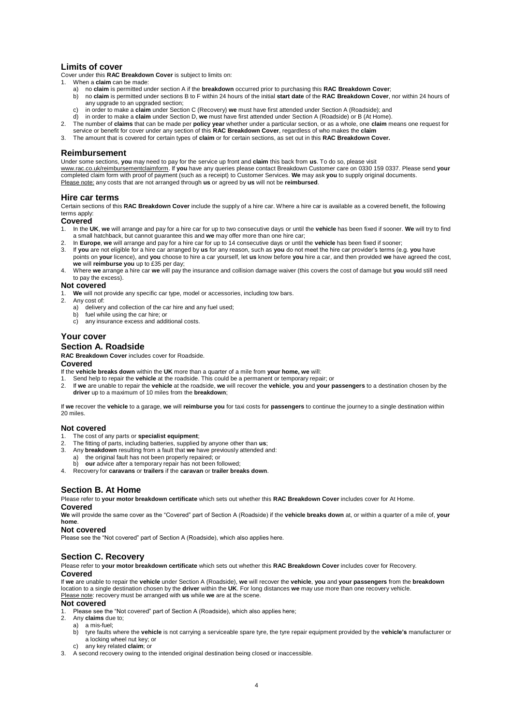# **Limits of cover**

Cover under this **RAC Breakdown Cover** is subject to limits on: 1. When a **claim** can be made:

- a) no **claim** is permitted under section A if the **breakdown** occurred prior to purchasing this **RAC Breakdown Cover**;
	- b) no **claim** is permitted under sections B to F within 24 hours of the initial **start date** of the **RAC Breakdown Cover**, nor within 24 hours of any upgrade to an upgraded section;
	- c) in order to make a **claim** under Section C (Recovery) **we** must have first attended under Section A (Roadside); and<br>d) in order to make a **claim** under Section D, w**e** must have first attended under Section A (Roadside)
- 
- 2. The number of claims that can be made per policy year whether under a particular section, or as a whole, one claim means one request for<br>service or benefit for cover under any section of this RAC Breakdown Cover, regard
- 3. The amount that is covered for certain types of **claim** or for certain sections, as set out in this **RAC Breakdown Cover.**

# **Reimbursement**

Under some sections, **you** may need to pay for the service up front and **claim** this back from **us**. To do so, please visit [www.rac.co.uk/reimbursementclaimform.](http://www.rac.co.uk/reimbursementclaimform) If **you** have any queries please contact Breakdown Customer care on 0330 159 0337. Please send **your**  completed claim form with proof of payment (such as a receipt) to Customer Services. **We** may ask **you** to supply original documents. Please note: any costs that are not arranged through **us** or agreed by **us** will not be **reimbursed**.

#### **Hire car terms**

Certain sections of this **RAC Breakdown Cover** include the supply of a hire car. Where a hire car is available as a covered benefit, the following terms apply

#### **Covered**

- 1. In the **UK**, **we** will arrange and pay for a hire car for up to two consecutive days or until the **vehicle** has been fixed if sooner. **We** will try to find a small hatchback, but cannot guarantee this and **we** may offer more than one hire car;
- 2. In **Europe**, **we** will arrange and pay for a hire car for up to 14 consecutive days or until the **vehicle** has been fixed if sooner;
- 3. If **you** are not eligible for a hire car arranged by **us** for any reason, such as **you** do not meet the hire car provider's terms (e.g. **you** have points on **your** licence), and **you** choose to hire a car yourself, let **us** know before **you** hire a car, and then provided **we** have agreed the cost, **we** will **reimburse you** up to £35 per day;
- 4. Where **we** arrange a hire car **we** will pay the insurance and collision damage waiver (this covers the cost of damage but **you** would still need to pay the excess).

#### **Not covered**

- 1. **We** will not provide any specific car type, model or accessories, including tow bars.
	- Any cost of:
		- a) delivery and collection of the car hire and any fuel used;
		- b) fuel while using the car hire; or
		- c) any insurance excess and additional costs.

# **Your cover**

# **Section A. Roadside**

**RAC Breakdown Cover** includes cover for Roadside.

# **Covered**

- If the **vehicle breaks down** within the **UK** more than a quarter of a mile from **your home, we** will:
- 1. Send help to repair the **vehicle** at the roadside. This could be a permanent or temporary repair; or
- 2. If **we** are unable to repair the **vehicle** at the roadside, **we** will recover the **vehicle**, **you** and **your passengers** to a destination chosen by the **driver** up to a maximum of 10 miles from the **breakdown**;

If **we** recover the **vehicle** to a garage, **we** will **reimburse you** for taxi costs for **passengers** to continue the journey to a single destination within 20 miles.

#### **Not covered**

- 1. The cost of any parts or **specialist equipment**;
- 2. The fitting of parts, including batteries, supplied by anyone other than **us**;<br>3. Any **breakdown** resulting from a fault that we have previously attended a
- 3. Any **breakdown** resulting from a fault that **we** have previously attended and:
	- a) the original fault has not been properly repaired; or our advice after a temporary repair has not been followed;
- 4. Recovery for **caravans** or **trailers** if the **caravan** or **trailer breaks down**.

# **Section B. At Home**

Please refer to **your motor breakdown certificate** which sets out whether this **RAC Breakdown Cover** includes cover for At Home. **Covered**

**We** will provide the same cover as the "Covered" part of Section A (Roadside) if the **vehicle breaks down** at, or within a quarter of a mile of, **your home**.

#### **Not covered**

Please see the "Not covered" part of Section A (Roadside), which also applies here.

# **Section C. Recovery**

Please refer to **your motor breakdown certificate** which sets out whether this **RAC Breakdown Cover** includes cover for Recovery. **Covered**

If we are unable to repair the vehicle under Section A (Roadside), we will recover the vehicle, you and your passengers from the breakdown<br>location to a single destination chosen by the driver within the UK. For long dista Please note: recovery must be arranged with **us** while **we** are at the scene.

#### **Not covered**

1. Please see the "Not covered" part of Section A (Roadside), which also applies here;

- 2. Any **claims** due to;
- a) a mis-fuel; b) tyre faults where the **vehicle** is not carrying a serviceable spare tyre, the tyre repair equipment provided by the **vehicle's** manufacturer or a locking wheel nut key; or
	- c) any key related **claim**; or
- A second recovery owing to the intended original destination being closed or inaccessible.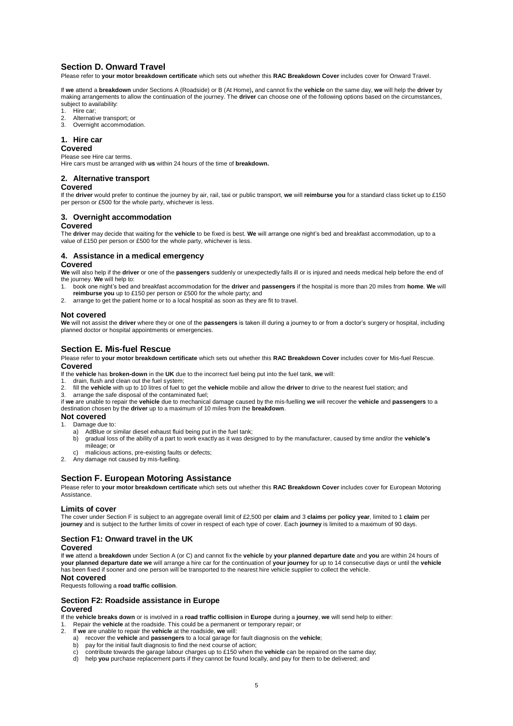# **Section D. Onward Travel**

Please refer to **your motor breakdown certificate** which sets out whether this **RAC Breakdown Cover** includes cover for Onward Travel.

If **we** attend a **breakdown** under Sections A (Roadside) or B (At Home)**,** and cannot fix the **vehicle** on the same day, **we** will help the **driver** by making arrangements to allow the continuation of the journey. The **driver** can choose one of the following options based on the circumstances, subject to availability:

- Hire car;
- 2. Alternative transport; or
- 3. Overnight accommodation.

# **1. Hire car**

#### **Covered**

Please see Hire car terms.

Hire cars must be arranged with **us** within 24 hours of the time of **breakdown.**

#### **2. Alternative transport**

#### **Covered**

If the **driver** would prefer to continue the journey by air, rail, taxi or public transport, **we** will **reimburse you** for a standard class ticket up to £150 per person or £500 for the whole party, whichever is less.

# **3. Overnight accommodation**

# **Covered**

The **driver** may decide that waiting for the **vehicle** to be fixed is best. **We** will arrange one night's bed and breakfast accommodation, up to a value of £150 per person or £500 for the whole party, whichever is less.

# **4. Assistance in a medical emergency**

# **Covered**

**We** will also help if the **driver** or one of the **passengers** suddenly or unexpectedly falls ill or is injured and needs medical help before the end of the journey. **We** will help to:

- 1. book one night's bed and breakfast accommodation for the **driver** and **passengers** if the hospital is more than 20 miles from **home**. **We** will **reimburse you** up to £150 per person or £500 for the whole party; and
- 2. arrange to get the patient home or to a local hospital as soon as they are fit to travel.

#### **Not covered**

**We** will not assist the **driver** where they or one of the **passengers** is taken ill during a journey to or from a doctor's surgery or hospital, including planned doctor or hospital appointments or emergencies.

# **Section E. Mis-fuel Rescue**

Please refer to **your motor breakdown certificate** which sets out whether this **RAC Breakdown Cover** includes cover for Mis-fuel Rescue.

# **Covered**

If the **vehicle** has **broken-down** in the **UK** due to the incorrect fuel being put into the fuel tank, **we** will:

- 1. drain, flush and clean out the fuel system;
- 2. fill the **vehicle** with up to 10 litres of fuel to get the **vehicle** mobile and allow the **driver** to drive to the nearest fuel station; and
- 3. arrange the safe disposal of the contaminated fuel;

if **we** are unable to repair the **vehicle** due to mechanical damage caused by the mis-fuelling **we** will recover the **vehicle** and **passengers** to a destination chosen by the **driver** up to a maximum of 10 miles from the **breakdown**.

# **Not covered**

- 1. Damage due to:
	- a) AdBlue or similar diesel exhaust fluid being put in the fuel tank;<br>b) aradual loss of the ability of a part to work exactly as it was des
	- b) gradual loss of the ability of a part to work exactly as it was designed to by the manufacturer, caused by time and/or the **vehicle's** mileage; or
	- malicious actions, pre-existing faults or defects;
- 2. Any damage not caused by mis-fuelling.

# **Section F. European Motoring Assistance**

Please refer to **your motor breakdown certificate** which sets out whether this **RAC Breakdown Cover** includes cover for European Motoring Assistance.

# **Limits of cover**

The cover under Section F is subject to an aggregate overall limit of £2,500 per **claim** and 3 **claims** per **policy year**, limited to 1 **claim** per **journey** and is subject to the further limits of cover in respect of each type of cover. Each **journey** is limited to a maximum of 90 days.

# **Section F1: Onward travel in the UK**

# **Covered**

If **we** attend a **breakdown** under Section A (or C) and cannot fix the **vehicle** by **your planned departure date** and **you** are within 24 hours of **your planned departure date we** will arrange a hire car for the continuation of **your journey** for up to 14 consecutive days or until the **vehicle** has been fixed if sooner and one person will be transported to the nearest hire vehicle supplier to collect the vehicle.

# **Not covered**

Requests following a **road traffic collision**.

# **Section F2: Roadside assistance in Europe Covered**

If the **vehicle breaks down** or is involved in a **road traffic collision** in **Europe** during a **journey**, **we** will send help to either:

- 1. Repair the **vehicle** at the roadside. This could be a permanent or temporary repair; or
- 2. If **we** are unable to repair the **vehicle** at the roadside, **we** will:
	- a) recover the **vehicle** and **passengers** to a local garage for fault diagnosis on the **vehicle**;
	-
	- b) pay for the initial fault diagnosis to find the next course of action;<br>c) contribute towards the garage labour charges up to £150 when the **vehicle** can be repaired on the same day; c) contribute towards the garage labour charges up to £150 when the **vehicle** can be repaired on the same day;<br>d) help **you** purchase replacement parts if they cannot be found locally, and pay for them to be delivered; and
	-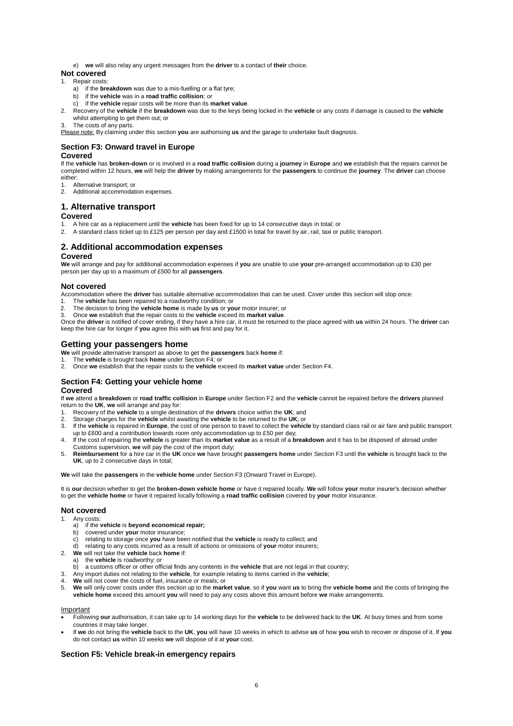e) **we** will also relay any urgent messages from the **driver** to a contact of **their** choice.

# **Not covered**

#### 1. Repair costs:

- a) if the **breakdown** was due to a mis-fuelling or a flat tyre;
- b) if the **vehicle** was in a **road traffic collision**; or
- c) if the **vehicle** repair costs will be more than its **market value**.
- 2. Recovery of the **vehicle** if the **breakdown** was due to the keys being locked in the **vehicle** or any costs if damage is caused to the **vehicle** whilst attempting to get them out; or
- The costs of any parts.

Please note: By claiming under this section **you** are authorising **us** and the garage to undertake fault diagnosis.

# **Section F3: Onward travel in Europe**

# **Covered**

If the **vehicle** has **broken-down** or is involved in a **road traffic collision** during a **journey** in **Europe** and **we** establish that the repairs cannot be completed within 12 hours, **we** will help the **driver** by making arrangements for the **passengers** to continue the **journey**. The **driver** can choose either:

- 1. Alternative transport; or
- Additional accommodation expenses.
- 

#### **1. Alternative transport Covered**

- 1. A hire car as a replacement until the **vehicle** has been fixed for up to 14 consecutive days in total; or
- 2. A standard class ticket up to £125 per person per day and £1500 in total for travel by air, rail, taxi or public transport.

# **2. Additional accommodation expenses**

#### **Covered**

**We** will arrange and pay for additional accommodation expenses if **you** are unable to use **your** pre-arranged accommodation up to £30 per person per day up to a maximum of £500 for all **passengers**.

#### **Not covered**

Accommodation where the **driver** has suitable alternative accommodation that can be used. Cover under this section will stop once:

- 1. The **vehicle** has been repaired to a roadworthy condition; or
- 2. The decision to bring the **vehicle home** is made by **us** or **your** motor insurer; or 3. Once **we** establish that the repair costs to the **vehicle** exceed its **market value**.

Once the **driver** is notified of cover ending, if they have a hire car, it must be returned to the place agreed with **us** within 24 hours. The **driver** can keep the hire car for longer if **you** agree this with **us** first and pay for it.

# **Getting your passengers home**

- **We** will provide alternative transport as above to get the **passengers** back **home** if:
- 
- 1. The **vehicle** is brought back **home** under Section F4; or 2. Once **we** establish that the repair costs to the **vehicle** exceed its **market value** under Section F4.

# **Section F4: Getting your vehicle home Covered**

If **we** attend a **breakdown** or **road traffic collision** in **Europe** under Section F2 and the **vehicle** cannot be repaired before the **drivers** planned return to the **UK**, **we** will arrange and pay for:

- 1. Recovery of the **vehicle** to a single destination of the **drivers** choice within the **UK**; and
- 2. Storage charges for the **vehicle** whilst awaiting the **vehicle** to be returned to the **UK**; or
- 3. If the **vehicle** is repaired in **Europe**, the cost of one person to travel to collect the **vehicle** by standard class rail or air fare and public transport up to £600 and a contribution towards room only accommodation up to £50 per day;
- 4. If the cost of repairing the **vehicle** is greater than its **market value** as a result of a **breakdown** and it has to be disposed of abroad under
- Customs supervision, we will pay the cost of the import duty;<br>5. Reimbursement for a hire car in the UK once we have brought passengers home under Section F3 until the vehicle is brought back to the **UK**, up to 2 consecutive days in total;

**We** will take the **passengers** in the **vehicle home** under Section F3 (Onward Travel in Europe).

It is **our** decision whether to get the **broken-down vehicle home** or have it repaired locally. **We** will follow **your** motor insurer's decision whether to get the **vehicle home** or have it repaired locally following a **road traffic collision** covered by **your** motor insurance.

# **Not covered**

- 1. Any costs:
	- a) if the **vehicle** is **beyond economical repair;**<br>b) covered under **vour** motor insurance:
	- b) covered under **your** motor insurance;
	- c) relating to storage once **you** have been notified that the **vehicle** is ready to collect; and
	- d) relating to any costs incurred as a result of actions or omissions of **your** motor insurers;
- 2. **We** will not take the **vehicle** back **home** if:
	- a) the **vehicle** is roadworthy; or
	- b) a customs officer or other official finds any contents in the **vehicle** that are not legal in that country;
- 3. Any import duties not relating to the **vehicle**, for example relating to items carried in the **vehicle**;
- We will not cover the costs of fuel, insurance or meals; or
- 5. **We** will only cover costs under this section up to the **market value**, so if **you** want **us** to bring the **vehicle home** and the costs of bringing the **vehicle home** exceed this amount **you** will need to pay any costs above this amount before **we** make arrangements.

# Important

- Following **our** authorisation, it can take up to 14 working days for the **vehicle** to be delivered back to the **UK**. At busy times and from some countries it may take longer.
- If **we** do not bring the **vehicle** back to the **UK**, **you** will have 10 weeks in which to advise **us** of how **you** wish to recover or dispose of it. If **you**  do not contact **us** within 10 weeks **we** will dispose of it at **your** cost.

# **Section F5: Vehicle break-in emergency repairs**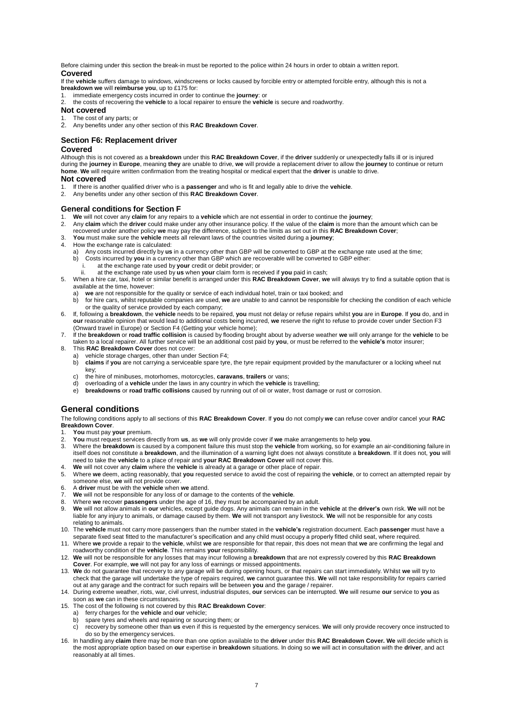Before claiming under this section the break-in must be reported to the police within 24 hours in order to obtain a written report. **Covered**

If the **vehicle** suffers damage to windows, windscreens or locks caused by forcible entry or attempted forcible entry, although this is not a **breakdown we** will **reimburse you**, up to £175 for:

- 1. immediate emergency costs incurred in order to continue the **journey**: or
- 2. the costs of recovering the **vehicle** to a local repairer to ensure the **vehicle** is secure and roadworthy.

# **Not covered**

- 1. The cost of any parts; or
- 2. Any benefits under any other section of this **RAC Breakdown Cover**.

# **Section F6: Replacement driver**

#### **Covered**

Although this is not covered as a **breakdown** under this **RAC Breakdown Cover**, if the **driver** suddenly or unexpectedly falls ill or is injured during the **journey** in **Europe**, meaning **they** are unable to drive, **we** will provide a replacement driver to allow the **journey** to continue or return **home**. **We** will require written confirmation from the treating hospital or medical expert that the **driver** is unable to drive.

# **Not covered**

- 1. If there is another qualified driver who is a **passenger** and who is fit and legally able to drive the **vehicle**.
- 2. Any benefits under any other section of this **RAC Breakdown Cover**.

#### **General conditions for Section F**

- 1. **We** will not cover any **claim** for any repairs to a **vehicle** which are not essential in order to continue the **journey**;
- 2. Any claim which the driver could make under any other insurance policy. If the value of the claim is more than the amount which can be recovered under another policy we may pay the difference, subject to the limits as s
- 3. **You** must make sure the **vehicle** meets all relevant laws of the countries visited during a **journey**;
- 4. How the exchange rate is calculated:
	- a) Any costs incurred directly by **us** in a currency other than GBP will be converted to GBP at the exchange rate used at the time;<br>b) Costs incurred by **you** in a currency other than GBP which are recoverable will be conv
	- b) Costs incurred by **you** in a currency other than GBP which are recoverable will be converted to GBP either:
	- at the exchange rate used by your credit or debit provider; or
	- ii. at the exchange rate used by **us** when **your** claim form is received if **you** paid in cash;
- 5. When a hire car, taxi, hotel or similar benefit is arranged under this **RAC Breakdown Cover**, **we** will always try to find a suitable option that is available at the time, however:
	- a) **we** are not responsible for the quality or service of each individual hotel, train or taxi booked; and
	- b) for hire cars, whilst reputable companies are used, **we** are unable to and cannot be responsible for checking the condition of each vehicle or the quality of service provided by each company;
- 6. If, following a **breakdown**, the **vehicle** needs to be repaired, **you** must not delay or refuse repairs whilst **you** are in **Europe**. If **you** do, and in **our** reasonable opinion that would lead to additional costs being incurred, **we** reserve the right to refuse to provide cover under Section F3 (Onward travel in Europe) or Section F4 (Getting your vehicle home);
- 7. If the **breakdown** or **road traffic collision** is caused by flooding brought about by adverse weather **we** will only arrange for the **vehicle** to be taken to a local repairer. All further service will be an additional cost paid by **you**, or must be referred to the **vehicle's** motor insurer;
- 8. This **RAC Breakdown Cover** does not cover:
	- a) vehicle storage charges, other than under Section F4;<br>b) claims if you are not carrying a serviceable spare type
		- b) **claims** if **you** are not carrying a serviceable spare tyre, the tyre repair equipment provided by the manufacturer or a locking wheel nut key;
	- c) the hire of minibuses, motorhomes, motorcycles, **caravans**, **trailers** or vans;
	- d) overloading of a **vehicle** under the laws in any country in which the **vehicle** is travelling;
	- e) **breakdowns** or **road traffic collisions** caused by running out of oil or water, frost damage or rust or corrosion.

# **General conditions**

The following conditions apply to all sections of this **RAC Breakdown Cover**. If **you** do not comply **we** can refuse cover and/or cancel your **RAC Breakdown Cover**.

1. **You** must pay **your** premium.

- 2. **You** must request services directly from **us**, as **we** will only provide cover if **we** make arrangements to help **you**.
- 3. Where the **breakdown** is caused by a component failure this must stop the **vehicle** from working, so for example an air-conditioning failure in itself does not constitute a **breakdown**, and the illumination of a warning light does not always constitute a **breakdown**. If it does not, **you** will need to take the **vehicle** to a place of repair and **your RAC Breakdown Cover** will not cover this.
- 4. **We** will not cover any **claim** where the **vehicle** is already at a garage or other place of repair.
- 5. Where **we** deem, acting reasonably, that **you** requested service to avoid the cost of repairing the **vehicle**, or to correct an attempted repair by someone else, **we** will not provide cover.
- 6. A **driver** must be with the **vehicle** when **we** attend.
- 7. **We** will not be responsible for any loss of or damage to the contents of the **vehicle**.
- 
- 8. Where **we** recover **passengers** under the age of 16, they must be accompanied by an adult.<br>9. We will not allow animals in **our** vehicles, except guide dogs. Any animals can remain in the **vehicle** at the **driver's** o liable for any injury to animals, or damage caused by them. **We** will not transport any livestock. **We** will not be responsible for any costs relating to animals.
- 10. The **vehicle** must not carry more passengers than the number stated in the **vehicle's** registration document. Each **passenger** must have a separate fixed seat fitted to the manufacturer's specification and any child must occupy a properly fitted child seat, where required.<br>11. Where we provide a repair to the vehicle, whilst we are responsible for that repair
- roadworthy condition of the **vehicle**. This remains **your** responsibility.
- 12. **We** will not be responsible for any losses that may incur following a **breakdown** that are not expressly covered by this **RAC Breakdown Cover**. For example, **we** will not pay for any loss of earnings or missed appointments.
- 13. **We** do not guarantee that recovery to any garage will be during opening hours, or that repairs can start immediately. Whilst **we** will try to check that the garage will undertake the type of repairs required, **we** cannot guarantee this. **We** will not take responsibility for repairs carried out at any garage and the contract for such repairs will be between **you** and the garage / repairer.
- 14. During extreme weather, riots, war, civil unrest, industrial disputes, **our** services can be interrupted. **We** will resume **our** service to **you** as soon as **we** can in these circumstances.
- 15. The cost of the following is not covered by this **RAC Breakdown Cover**: a) ferry charges for the **vehicle** and **our** vehicle;
	- - b) spare tyres and wheels and repairing or sourcing them; or
	- c) recovery by someone other than **us** even if this is requested by the emergency services. **We** will only provide recovery once instructed to do so by the emergency services.
- 16. In handling any **claim** there may be more than one option available to the **driver** under this **RAC Breakdown Cover. We** will decide which is the most appropriate option based on **our** expertise in **breakdown** situations. In doing so **we** will act in consultation with the **driver**, and act reasonably at all times.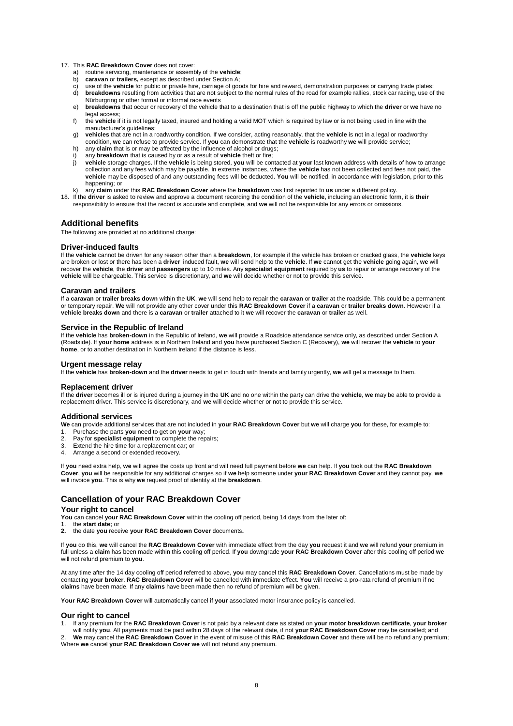#### 17. This **RAC Breakdown Cover** does not cover:

- a) routine servicing, maintenance or assembly of the **vehicle**;<br>b) **caravan** or **trailers**, except as described under Section A:
- caravan or trailers, except as described under Section A;
- use of the vehicle for public or private hire, carriage of goods for hire and reward, demonstration purposes or carrying trade plates;
- d) **breakdowns** resulting from activities that are not subject to the normal rules of the road for example rallies, stock car racing, use of the Nürburgring or other formal or informal race events
- e) **breakdowns** that occur or recovery of the vehicle that to a destination that is off the public highway to which the **driver** or **we** have no legal access;
- f) the **vehicle** if it is not legally taxed, insured and holding a valid MOT which is required by law or is not being used in line with the manufacturer's guidelines;
- g) **vehicles** that are not in a roadworthy condition. If **we** consider, acting reasonably, that the **vehicle** is not in a legal or roadworthy
- condition, we can refuse to provide service. If you can demonstrate that the vehicle is roadworthy we will provide service;<br>h) any claim that is or may be affected by the influence of alcohol or drugs;
- i) any **breakdown** that is caused by or as a result of **vehicle** theft or fire;
- j) vehicle storage charges. If the vehicle is being stored, you will be contacted at your last known address with details of how to arrange<br>collection and any fees which may be payable. In extreme instances, where the vehi **vehicle** may be disposed of and any outstanding fees will be deducted. **You** will be notified, in accordance with legislation, prior to this happening; or
- k) any **claim** under this **RAC Breakdown Cover** where the **breakdown** was first reported to **us** under a different policy.
- 18. If the **driver** is asked to review and approve a document recording the condition of the **vehicle,** including an electronic form, it is **their**  responsibility to ensure that the record is accurate and complete, and **we** will not be responsible for any errors or omissions.

# **Additional benefits**

The following are provided at no additional charge:

#### **Driver-induced faults**

If the **vehicle** cannot be driven for any reason other than a **breakdown**, for example if the vehicle has broken or cracked glass, the **vehicle** keys are broken or lost or there has been a **driver** induced fault, **we** will send help to the **vehicle**. If **we** cannot get the **vehicle** going again, **we** will recover the **vehicle**, the **driver** and **passengers** up to 10 miles. Any **specialist equipment** required by **us** to repair or arrange recovery of the **vehicle** will be chargeable. This service is discretionary, and **we** will decide whether or not to provide this service.

#### **Caravan and trailers**

If a **caravan** or **trailer breaks down** within the **UK**, **we** will send help to repair the **caravan** or **trailer** at the roadside. This could be a permanent or temporary repair. **We** will not provide any other cover under this **RAC Breakdown Cover** if a **caravan** or **trailer breaks down**. However if a **vehicle breaks down** and there is a **caravan** or **trailer** attached to it **we** will recover the **caravan** or **trailer** as well.

#### **Service in the Republic of Ireland**

If the **vehicle** has **broken-down** in the Republic of Ireland, **we** will provide a Roadside attendance service only, as described under Section A (Roadside). If **your home** address is in Northern Ireland and **you** have purchased Section C (Recovery), **we** will recover the **vehicle** to **your home**, or to another destination in Northern Ireland if the distance is less.

#### **Urgent message relay**

If the **vehicle** has **broken-down** and the **driver** needs to get in touch with friends and family urgently, **we** will get a message to them.

#### **Replacement driver**

If the **driver** becomes ill or is injured during a journey in the **UK** and no one within the party can drive the **vehicle**, **we** may be able to provide a replacement driver. This service is discretionary, and **we** will decide whether or not to provide this service.

#### **Additional services**

**We** can provide additional services that are not included in **your RAC Breakdown Cover** but **we** will charge **you** for these, for example to: 1. Purchase the parts **you** need to get on **your** way;

- 2. Pay for **specialist equipment** to complete the repairs;
- 3. Extend the hire time for a replacement car; or
- Arrange a second or extended recovery.

If **you** need extra help, **we** will agree the costs up front and will need full payment before **we** can help. If **you** took out the **RAC Breakdown**  Cover, you will be responsible for any additional charges so if we help someone under your RAC Breakdown Cover and they cannot pay, we<br>will invoice you. This is why we request proof of identity at the breakdown.

# **Cancellation of your RAC Breakdown Cover**

#### **Your right to cancel**

You can cancel your RAC Breakdown Cover within the cooling off period, being 14 days from the later of:

1. the **start date;** or

**2.** the date **you** receive **your RAC Breakdown Cover** documents**.**

If **you** do this, **we** will cancel the **RAC Breakdown Cover** with immediate effect from the day **you** request it and **we** will refund **your** premium in full unless a **claim** has been made within this cooling off period. If **you** downgrade **your RAC Breakdown Cover** after this cooling off period **we**  will not refund premium to **you**.

At any time after the 14 day cooling off period referred to above, **you** may cancel this **RAC Breakdown Cover**. Cancellations must be made by contacting **your broker**. **RAC Breakdown Cover** will be cancelled with immediate effect. **You** will receive a pro-rata refund of premium if no **claims** have been made. If any **claims** have been made then no refund of premium will be given.

**Your RAC Breakdown Cover** will automatically cancel if **your** associated motor insurance policy is cancelled.

#### **Our right to cancel**

1. If any premium for the RAC Breakdown Cover is not paid by a relevant date as stated on your motor breakdown certificate, your broker<br>will notify you. All payments must be paid within 28 days of the relevant date, if not

2. **We** may cancel the **RAC Breakdown Cover** in the event of misuse of this **RAC Breakdown Cover** and there will be no refund any premium; Where **we** cancel **your RAC Breakdown Cover we** will not refund any premium.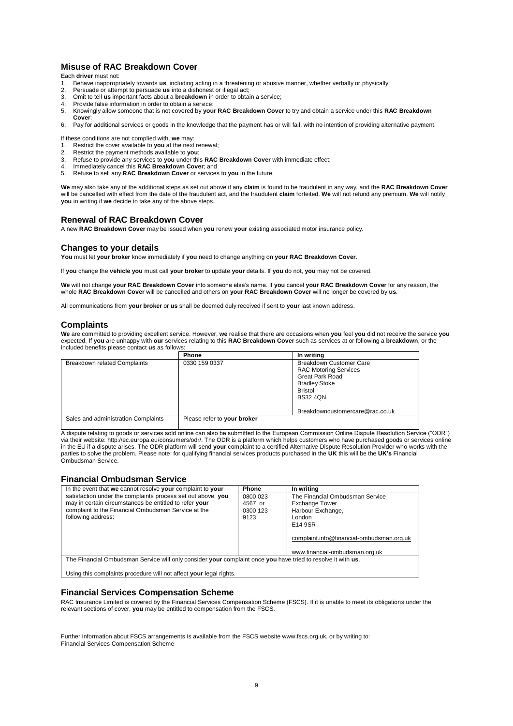# **Misuse of RAC Breakdown Cover**

Each **driver** must not:

- 1. Behave inappropriately towards **us**, including acting in a threatening or abusive manner, whether verbally or physically; 2. Persuade or attempt to persuade **us** into a dishonest or illegal act;
- 
- 3. Omit to tell **us** important facts about a **breakdown** in order to obtain a service;
- 4. Provide false information in order to obtain a service;<br>5. Knowingly allow someone that is not covered by vou 5. Knowingly allow someone that is not covered by **your RAC Breakdown Cover** to try and obtain a service under this **RAC Breakdown**
- **Cover**;
- 6. Pay for additional services or goods in the knowledge that the payment has or will fail, with no intention of providing alternative payment.

If these conditions are not complied with, **we** may:

- 1. Restrict the cover available to **you** at the next renewal;<br>2. Restrict the payment methods available to **you**:
- 2. Restrict the payment methods available to **you**;
- 3. Refuse to provide any services to **you** under this **RAC Breakdown Cover** with immediate effect;
- 4. Immediately cancel this **RAC Breakdown Cover**; and
- 5. Refuse to sell any **RAC Breakdown Cover** or services to **you** in the future.

**We** may also take any of the additional steps as set out above if any **claim** is found to be fraudulent in any way, and the **RAC Breakdown Cover**  will be cancelled with effect from the date of the fraudulent act, and the fraudulent **claim** forfeited. **We** will not refund any premium. **We** will notify **you** in writing if **we** decide to take any of the above steps.

# **Renewal of RAC Breakdown Cover**

A new **RAC Breakdown Cover** may be issued when **you** renew **your** existing associated motor insurance policy.

# **Changes to your details**

**You** must let **your broker** know immediately if **you** need to change anything on **your RAC Breakdown Cover**.

If **you** change the **vehicle you** must call **your broker** to update **your** details. If **you** do not, **you** may not be covered.

**We** will not change **your RAC Breakdown Cover** into someone else's name. If **you** cancel **your RAC Breakdown Cover** for any reason, the whole **RAC Breakdown Cover** will be cancelled and others on **your RAC Breakdown Cover** will no longer be covered by **us**.

All communications from **your broker** or **us** shall be deemed duly received if sent to **your** last known address.

# **Complaints**

**We** are committed to providing excellent service. However, **we** realise that there are occasions when **you** feel **you** did not receive the service **you**  expected. If **you** are unhappy with **our** services relating to this **RAC Breakdown Cover** such as services at or following a **breakdown**, or the included benefits please contact **us** as follows:

|                                     | Phone                       | In writing                                                                                                                                                                               |
|-------------------------------------|-----------------------------|------------------------------------------------------------------------------------------------------------------------------------------------------------------------------------------|
| <b>Breakdown related Complaints</b> | 0330 159 0337               | <b>Breakdown Customer Care</b><br><b>RAC Motoring Services</b><br><b>Great Park Road</b><br><b>Bradley Stoke</b><br><b>Bristol</b><br><b>BS32 40N</b><br>Breakdowncustomercare@rac.co.uk |
| Sales and administration Complaints | Please refer to your broker |                                                                                                                                                                                          |

A dispute relating to goods or services sold online can also be submitted to the European Commission Online Dispute Resolution Service ("ODR") via their website: http://ec.europa.eu/consumers/odr/. The ODR is a platform which helps customers who have purchased goods or services online in the EU if a dispute arises. The ODR platform will send **your** complaint to a certified Alternative Dispute Resolution Provider who works with the parties to solve the problem. Please note: for qualifying financial services products purchased in the **UK** this will be the **UK's** Financial Ombudsman Service.

# **Financial Ombudsman Service**

| In the event that we cannot resolve your complaint to your                                                   | Phone    | In writing                                |  |  |
|--------------------------------------------------------------------------------------------------------------|----------|-------------------------------------------|--|--|
| satisfaction under the complaints process set out above, you                                                 | 0800 023 | The Financial Ombudsman Service           |  |  |
| may in certain circumstances be entitled to refer your                                                       | 4567 or  | <b>Exchange Tower</b>                     |  |  |
| complaint to the Financial Ombudsman Service at the                                                          | 0300 123 | Harbour Exchange,                         |  |  |
| following address:                                                                                           | 9123     | London                                    |  |  |
|                                                                                                              |          | E14 9SR                                   |  |  |
|                                                                                                              |          |                                           |  |  |
|                                                                                                              |          | complaint.info@financial-ombudsman.org.uk |  |  |
|                                                                                                              |          |                                           |  |  |
|                                                                                                              |          | www.financial-ombudsman.org.uk            |  |  |
| The Financial Ombudsman Service will only consider your complaint once you have tried to resolve it with us. |          |                                           |  |  |
|                                                                                                              |          |                                           |  |  |
| Using this complaints procedure will not affect your legal rights.                                           |          |                                           |  |  |

# **Financial Services Compensation Scheme**

RAC Insurance Limited is covered by the Financial Services Compensation Scheme (FSCS). If it is unable to meet its obligations under the relevant sections of cover, **you** may be entitled to compensation from the FSCS.

Further information about FSCS arrangements is available from the FSCS website www.fscs.org.uk, or by writing to: Financial Services Compensation Scheme